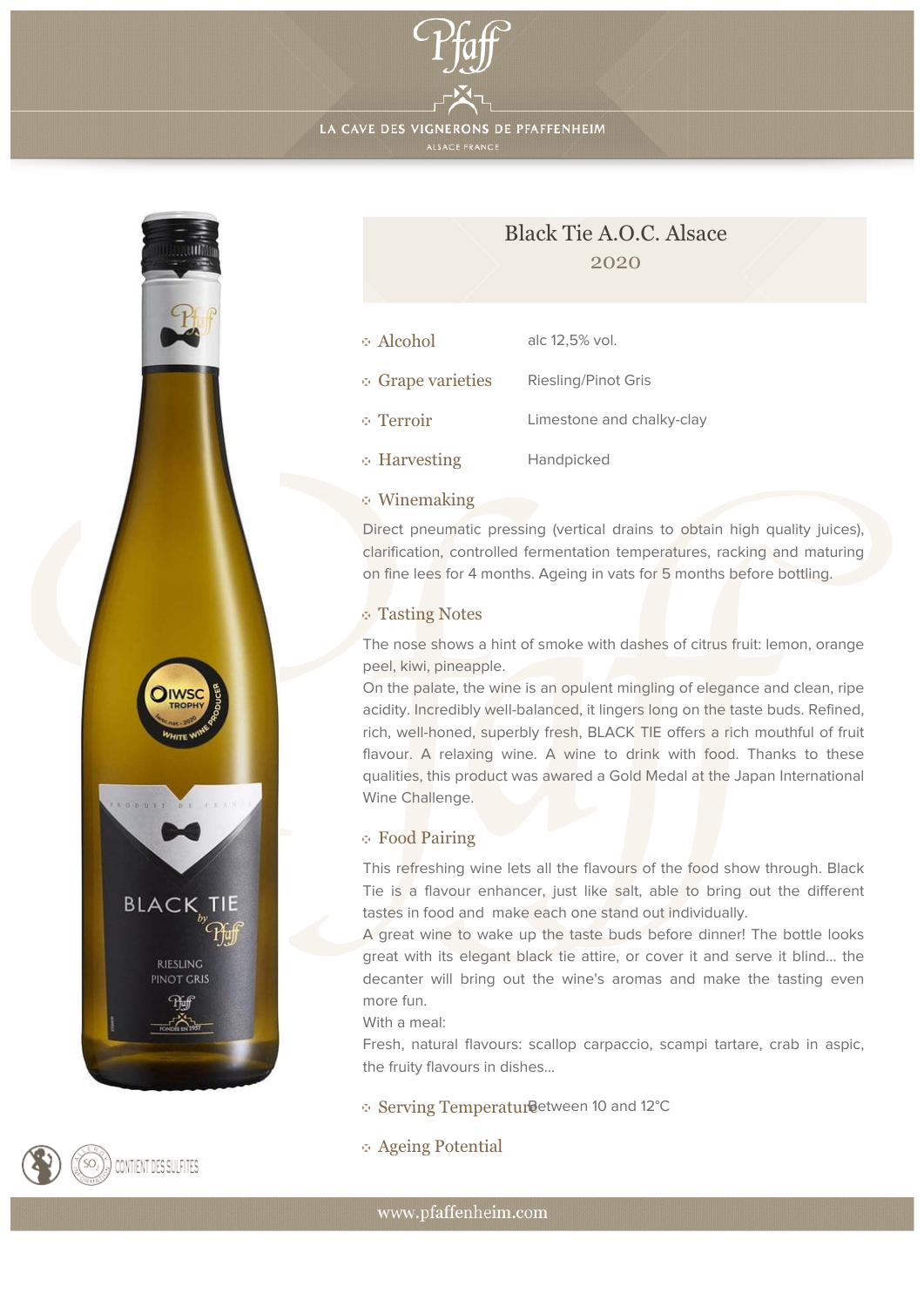

LA CAVE DES VIGNERONS DE PFAFFENHEIM





| Alcohol           | alc 12,5% vol.             |
|-------------------|----------------------------|
| • Grape varieties | <b>Riesling/Pinot Gris</b> |
| ⊙ Terroir         | Limestone and chalky-clay  |
| ⊕ Harvesting      | Handpicked                 |

# Winemaking

Direct pneumatic pressing (vertical drains to obtain high quality juices), clarification, controlled fermentation temperatures, racking and maturing on fine lees for 4 months. Ageing in vats for 5 months before bottling.

## Tasting Notes

The nose shows a hint of smoke with dashes of citrus fruit: lemon, orange peel, kiwi, pineapple.

On the palate, the wine is an opulent mingling of elegance and clean, ripe acidity. Incredibly well-balanced, it lingers long on the taste buds. Refined, rich, well-honed, superbly fresh, BLACK TIE offers a rich mouthful of fruit flavour. A relaxing wine. A wine to drink with food. Thanks to these qualities, this product was awared a Gold Medal at the Japan International Wine Challenge.

## Food Pairing

This refreshing wine lets all the flavours of the food show through. Black Tie is a flavour enhancer, just like salt, able to bring out the different tastes in food and make each one stand out individually.

A great wine to wake up the taste buds before dinner! The bottle looks great with its elegant black tie attire, or cover it and serve it blind... the decanter will bring out the wine's aromas and make the tasting even more fun.

#### With a meal:

Fresh, natural flavours: scallop carpaccio, scampi tartare, crab in aspic, the fruity flavours in dishes...

#### Serving Temperatur Between 10 and 12°C

Ageing Potential

www.pfaffenheim.com



CONTIENT DES SULFITES